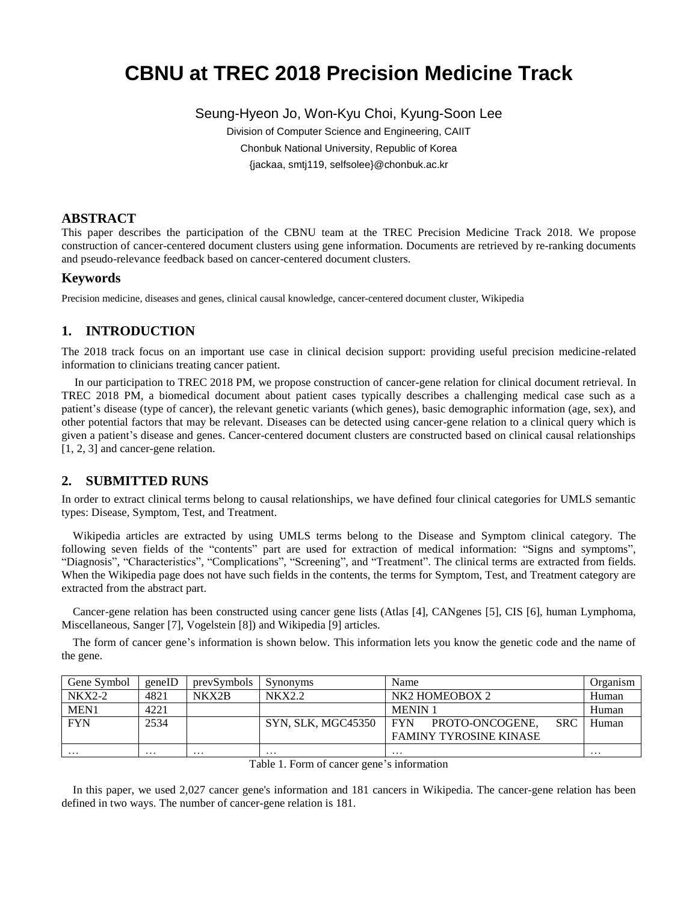# **CBNU at TREC 2018 Precision Medicine Track**

Seung-Hyeon Jo, Won-Kyu Choi, Kyung-Soon Lee

Division of Computer Science and Engineering, CAIIT Chonbuk National University, Republic of Korea {jackaa, smtj119, selfsolee}@chonbuk.ac.kr

# **ABSTRACT**

This paper describes the participation of the CBNU team at the TREC Precision Medicine Track 2018. We propose construction of cancer-centered document clusters using gene information. Documents are retrieved by re-ranking documents and pseudo-relevance feedback based on cancer-centered document clusters.

## **Keywords**

Precision medicine, diseases and genes, clinical causal knowledge, cancer-centered document cluster, Wikipedia

# **1. INTRODUCTION**

The 2018 track focus on an important use case in clinical decision support: providing useful precision medicine-related information to clinicians treating cancer patient.

In our participation to TREC 2018 PM, we propose construction of cancer-gene relation for clinical document retrieval. In TREC 2018 PM, a biomedical document about patient cases typically describes a challenging medical case such as a patient's disease (type of cancer), the relevant genetic variants (which genes), basic demographic information (age, sex), and other potential factors that may be relevant. Diseases can be detected using cancer-gene relation to a clinical query which is given a patient's disease and genes. Cancer-centered document clusters are constructed based on clinical causal relationships [1, 2, 3] and cancer-gene relation.

# **2. SUBMITTED RUNS**

In order to extract clinical terms belong to causal relationships, we have defined four clinical categories for UMLS semantic types: Disease, Symptom, Test, and Treatment.

Wikipedia articles are extracted by using UMLS terms belong to the Disease and Symptom clinical category. The following seven fields of the "contents" part are used for extraction of medical information: "Signs and symptoms", "Diagnosis", "Characteristics", "Complications", "Screening", and "Treatment". The clinical terms are extracted from fields. When the Wikipedia page does not have such fields in the contents, the terms for Symptom, Test, and Treatment category are extracted from the abstract part.

Cancer-gene relation has been constructed using cancer gene lists (Atlas [4], CANgenes [5], CIS [6], human Lymphoma, Miscellaneous, Sanger [7], Vogelstein [8]) and Wikipedia [9] articles.

The form of cancer gene's information is shown below. This information lets you know the genetic code and the name of the gene.

| Gene Symbol | geneID   | prevSymbols | Synonyms           | Name                                        | Organism |
|-------------|----------|-------------|--------------------|---------------------------------------------|----------|
| $NKX2-2$    | 4821     | NKX2B       | NKX2.2             | NK <sub>2</sub> HOMEOBOX 2                  | Human    |
| MEN1        | 4221     |             |                    | <b>MENIN1</b>                               | Human    |
| <b>FYN</b>  | 2534     |             | SYN, SLK, MGC45350 | <b>SRC</b><br><b>FYN</b><br>PROTO-ONCOGENE. | Human    |
|             |          |             |                    | <b>FAMINY TYROSINE KINASE</b>               |          |
| .           | $\cdots$ | $\cdots$    | .                  | $\cdots$                                    | $\cdots$ |

Table 1. Form of cancer gene's information

In this paper, we used 2,027 cancer gene's information and 181 cancers in Wikipedia. The cancer-gene relation has been defined in two ways. The number of cancer-gene relation is 181.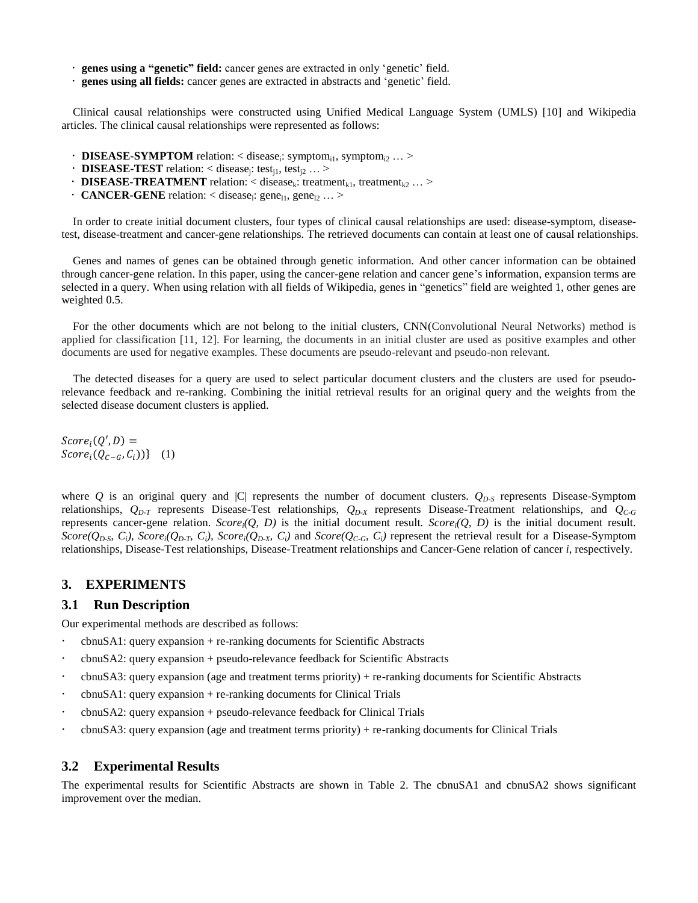- **genes using a "genetic" field:** cancer genes are extracted in only 'genetic' field.
- **genes using all fields:** cancer genes are extracted in abstracts and 'genetic' field.

Clinical causal relationships were constructed using Unified Medical Language System (UMLS) [10] and Wikipedia articles. The clinical causal relationships were represented as follows:

- $\cdot$  **DISEASE-SYMPTOM** relation: < disease<sub>i</sub>: symptom<sub>i1</sub>, symptom<sub>i2</sub> ... >
- **DISEASE-TEST** relation: < disease<sub>j</sub>: test<sub>j1</sub>, test<sub>j2</sub> ... >
- **DISEASE-TREATMENT** relation: < disease<sub>k</sub>: treatment<sub>k1</sub>, treatment<sub>k2</sub> ... >
- $\cdot$  **CANCER-GENE** relation: < disease<sub>l</sub>: gene<sub>l1</sub>, gene<sub>l2</sub> ... >

In order to create initial document clusters, four types of clinical causal relationships are used: disease-symptom, diseasetest, disease-treatment and cancer-gene relationships. The retrieved documents can contain at least one of causal relationships.

Genes and names of genes can be obtained through genetic information. And other cancer information can be obtained through cancer-gene relation. In this paper, using the cancer-gene relation and cancer gene's information, expansion terms are selected in a query. When using relation with all fields of Wikipedia, genes in "genetics" field are weighted 1, other genes are weighted 0.5.

For the other documents which are not belong to the initial clusters, CNN(Convolutional Neural Networks) method is applied for classification [11, 12]. For learning, the documents in an initial cluster are used as positive examples and other documents are used for negative examples. These documents are pseudo-relevant and pseudo-non relevant.

The detected diseases for a query are used to select particular document clusters and the clusters are used for pseudorelevance feedback and re-ranking. Combining the initial retrieval results for an original query and the weights from the selected disease document clusters is applied.

 $Score_i(Q',D) =$  $Score_i(Q_{C-G}, C_i))$ } (1)

where *Q* is an original query and |C| represents the number of document clusters.  $Q_{D-S}$  represents Disease-Symptom relationships, *QD-T* represents Disease-Test relationships, *QD-X* represents Disease-Treatment relationships, and *QC-G* represents cancer-gene relation. *Scorei(Q, D)* is the initial document result. *Scorei(Q, D)* is the initial document result. Score( $Q_{D-S}$ ,  $C_i$ ), Score<sub>i</sub>( $Q_{D,T}$ ,  $C_i$ ), Score<sub>i</sub>( $Q_{D-X}$ ,  $C_i$ ) and Score( $Q_{C-G}$ ,  $C_i$ ) represent the retrieval result for a Disease-Symptom relationships, Disease-Test relationships, Disease-Treatment relationships and Cancer-Gene relation of cancer *i*, respectively.

## **3. EXPERIMENTS**

#### **3.1 Run Description**

Our experimental methods are described as follows:

- cbnuSA1: query expansion + re-ranking documents for Scientific Abstracts
- cbnuSA2: query expansion + pseudo-relevance feedback for Scientific Abstracts
- cbnuSA3: query expansion (age and treatment terms priority) + re-ranking documents for Scientific Abstracts
- cbnuSA1: query expansion + re-ranking documents for Clinical Trials
- cbnuSA2: query expansion + pseudo-relevance feedback for Clinical Trials
- cbnuSA3: query expansion (age and treatment terms priority) + re-ranking documents for Clinical Trials

#### **3.2 Experimental Results**

The experimental results for Scientific Abstracts are shown in Table 2. The cbnuSA1 and cbnuSA2 shows significant improvement over the median.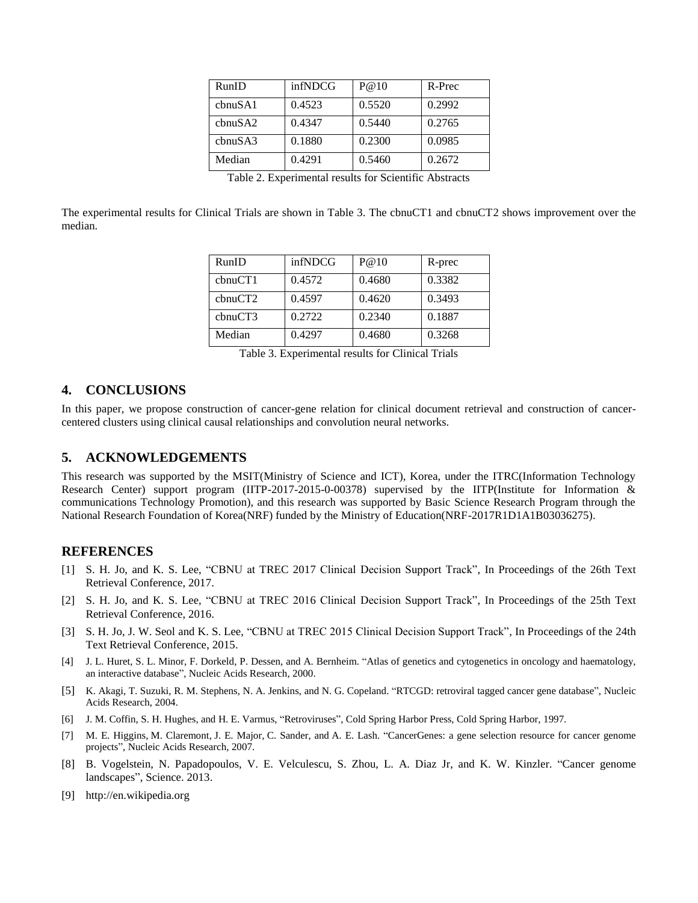| RunID                | infNDCG | P@10   | R-Prec |
|----------------------|---------|--------|--------|
| chnu <sub>S</sub> A1 | 0.4523  | 0.5520 | 0.2992 |
| chnuSA2              | 0.4347  | 0.5440 | 0.2765 |
| chnu S A3            | 0.1880  | 0.2300 | 0.0985 |
| Median               | 0.4291  | 0.5460 | 0.2672 |

| Table 2. Experimental results for Scientific Abstracts |  |
|--------------------------------------------------------|--|
|--------------------------------------------------------|--|

The experimental results for Clinical Trials are shown in Table 3. The cbnuCT1 and cbnuCT2 shows improvement over the median.

| RunID   | infNDCG | P@10   | R-prec |
|---------|---------|--------|--------|
| cbnuCT1 | 0.4572  | 0.4680 | 0.3382 |
| cbnuCT2 | 0.4597  | 0.4620 | 0.3493 |
| cbnuCT3 | 0.2722  | 0.2340 | 0.1887 |
| Median  | 0.4297  | 0.4680 | 0.3268 |

Table 3. Experimental results for Clinical Trials

# **4. CONCLUSIONS**

In this paper, we propose construction of cancer-gene relation for clinical document retrieval and construction of cancercentered clusters using clinical causal relationships and convolution neural networks.

## **5. ACKNOWLEDGEMENTS**

This research was supported by the MSIT(Ministry of Science and ICT), Korea, under the ITRC(Information Technology Research Center) support program (IITP-2017-2015-0-00378) supervised by the IITP(Institute for Information & communications Technology Promotion), and this research was supported by Basic Science Research Program through the National Research Foundation of Korea(NRF) funded by the Ministry of Education(NRF-2017R1D1A1B03036275).

## **REFERENCES**

- [1] S. H. Jo, and K. S. Lee, "CBNU at TREC 2017 Clinical Decision Support Track", In Proceedings of the 26th Text Retrieval Conference, 2017.
- [2] S. H. Jo, and K. S. Lee, "CBNU at TREC 2016 Clinical Decision Support Track", In Proceedings of the 25th Text Retrieval Conference, 2016.
- [3] S. H. Jo, J. W. Seol and K. S. Lee, "CBNU at TREC 2015 Clinical Decision Support Track", In Proceedings of the 24th Text Retrieval Conference, 2015.
- [4] J. L. Huret, S. L. Minor, F. Dorkeld, P. Dessen, and A. Bernheim. "Atlas of genetics and cytogenetics in oncology and haematology, an interactive database", Nucleic Acids Research, 2000.
- [5] K. Akagi, T. Suzuki, R. M. Stephens, N. A. Jenkins, and N. G. Copeland. "RTCGD: retroviral tagged cancer gene database", Nucleic Acids Research, 2004.
- [6] J. M. Coffin, S. H. Hughes, and H. E. Varmus, "Retroviruses", Cold Spring Harbor Press, Cold Spring Harbor, 1997.
- [7] M. [E. Higgins,](javascript:;) M. [Claremont,](javascript:;) J. [E. Major,](javascript:;) C. [Sander,](javascript:;) and A. [E. Lash.](javascript:;) "CancerGenes: a gene selection resource for cancer genome projects", Nucleic Acids Research, 2007.
- [8] B. Vogelstein, N. Papadopoulos, V. E. Velculescu, S. Zhou, L. A. Diaz Jr, and K. W. Kinzler. "Cancer genome landscapes", Science. 2013.
- [9] http://en.wikipedia.org